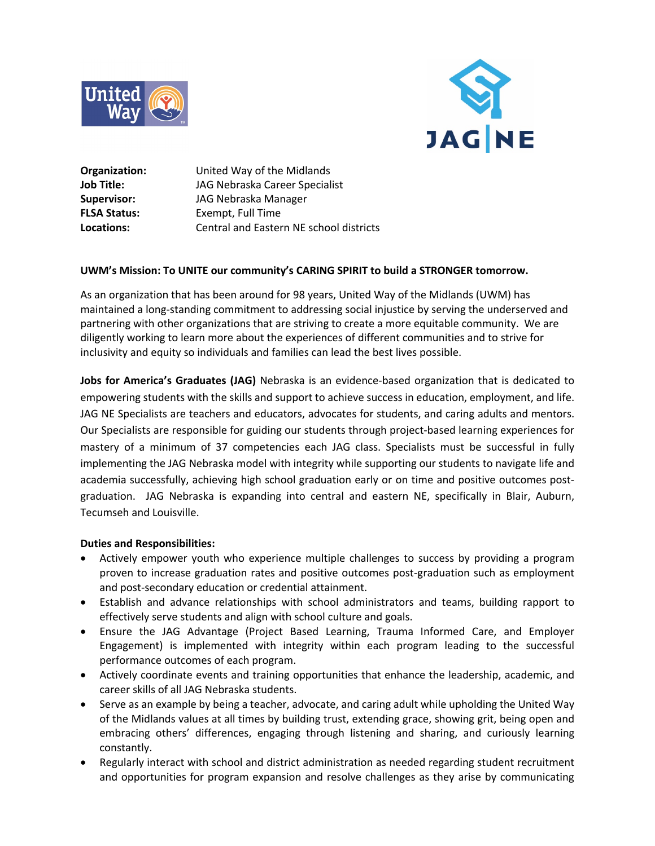



**Organization:** United Way of the Midlands **Job Title:** JAG Nebraska Career Specialist **Supervisor:** JAG Nebraska Manager **FLSA Status:** Exempt, Full Time **Locations:** Central and Eastern NE school districts

# **UWM's Mission: To UNITE our community's CARING SPIRIT to build a STRONGER tomorrow.**

As an organization that has been around for 98 years, United Way of the Midlands (UWM) has maintained a long-standing commitment to addressing social injustice by serving the underserved and partnering with other organizations that are striving to create a more equitable community. We are diligently working to learn more about the experiences of different communities and to strive for inclusivity and equity so individuals and families can lead the best lives possible.

**Jobs for America's Graduates (JAG)** Nebraska is an evidence-based organization that is dedicated to empowering students with the skills and support to achieve success in education, employment, and life. JAG NE Specialists are teachers and educators, advocates for students, and caring adults and mentors. Our Specialists are responsible for guiding our students through project-based learning experiences for mastery of a minimum of 37 competencies each JAG class. Specialists must be successful in fully implementing the JAG Nebraska model with integrity while supporting our students to navigate life and academia successfully, achieving high school graduation early or on time and positive outcomes postgraduation. JAG Nebraska is expanding into central and eastern NE, specifically in Blair, Auburn, Tecumseh and Louisville.

#### **Duties and Responsibilities:**

- Actively empower youth who experience multiple challenges to success by providing a program proven to increase graduation rates and positive outcomes post-graduation such as employment and post-secondary education or credential attainment.
- Establish and advance relationships with school administrators and teams, building rapport to effectively serve students and align with school culture and goals.
- Ensure the JAG Advantage (Project Based Learning, Trauma Informed Care, and Employer Engagement) is implemented with integrity within each program leading to the successful performance outcomes of each program.
- Actively coordinate events and training opportunities that enhance the leadership, academic, and career skills of all JAG Nebraska students.
- Serve as an example by being a teacher, advocate, and caring adult while upholding the United Way of the Midlands values at all times by building trust, extending grace, showing grit, being open and embracing others' differences, engaging through listening and sharing, and curiously learning constantly.
- Regularly interact with school and district administration as needed regarding student recruitment and opportunities for program expansion and resolve challenges as they arise by communicating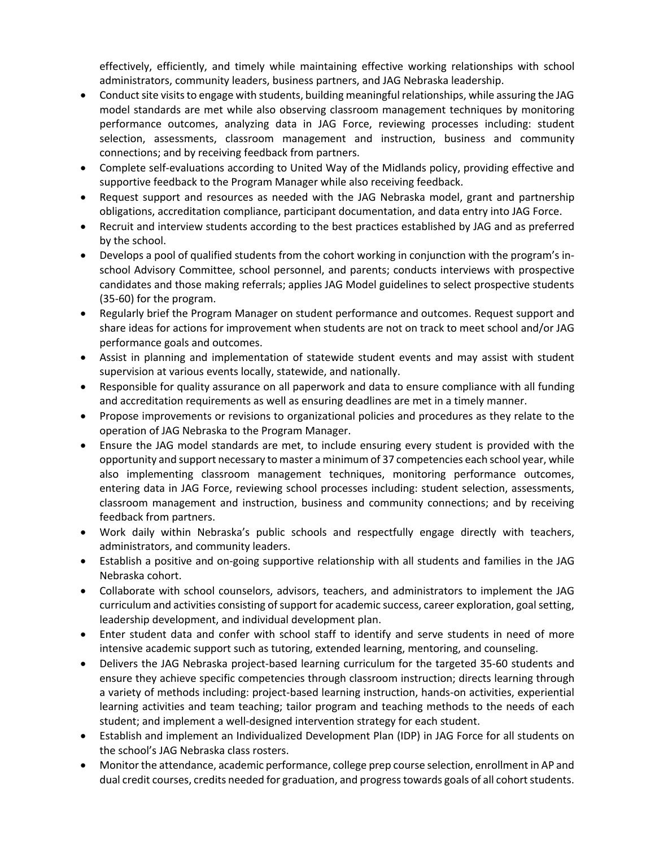effectively, efficiently, and timely while maintaining effective working relationships with school administrators, community leaders, business partners, and JAG Nebraska leadership.

- Conduct site visits to engage with students, building meaningful relationships, while assuring the JAG model standards are met while also observing classroom management techniques by monitoring performance outcomes, analyzing data in JAG Force, reviewing processes including: student selection, assessments, classroom management and instruction, business and community connections; and by receiving feedback from partners.
- Complete self-evaluations according to United Way of the Midlands policy, providing effective and supportive feedback to the Program Manager while also receiving feedback.
- Request support and resources as needed with the JAG Nebraska model, grant and partnership obligations, accreditation compliance, participant documentation, and data entry into JAG Force.
- Recruit and interview students according to the best practices established by JAG and as preferred by the school.
- Develops a pool of qualified students from the cohort working in conjunction with the program's inschool Advisory Committee, school personnel, and parents; conducts interviews with prospective candidates and those making referrals; applies JAG Model guidelines to select prospective students (35-60) for the program.
- Regularly brief the Program Manager on student performance and outcomes. Request support and share ideas for actions for improvement when students are not on track to meet school and/or JAG performance goals and outcomes.
- Assist in planning and implementation of statewide student events and may assist with student supervision at various events locally, statewide, and nationally.
- Responsible for quality assurance on all paperwork and data to ensure compliance with all funding and accreditation requirements as well as ensuring deadlines are met in a timely manner.
- Propose improvements or revisions to organizational policies and procedures as they relate to the operation of JAG Nebraska to the Program Manager.
- Ensure the JAG model standards are met, to include ensuring every student is provided with the opportunity and support necessary to master a minimum of 37 competencies each school year, while also implementing classroom management techniques, monitoring performance outcomes, entering data in JAG Force, reviewing school processes including: student selection, assessments, classroom management and instruction, business and community connections; and by receiving feedback from partners.
- Work daily within Nebraska's public schools and respectfully engage directly with teachers, administrators, and community leaders.
- Establish a positive and on-going supportive relationship with all students and families in the JAG Nebraska cohort.
- Collaborate with school counselors, advisors, teachers, and administrators to implement the JAG curriculum and activities consisting of support for academic success, career exploration, goal setting, leadership development, and individual development plan.
- Enter student data and confer with school staff to identify and serve students in need of more intensive academic support such as tutoring, extended learning, mentoring, and counseling.
- Delivers the JAG Nebraska project-based learning curriculum for the targeted 35-60 students and ensure they achieve specific competencies through classroom instruction; directs learning through a variety of methods including: project-based learning instruction, hands-on activities, experiential learning activities and team teaching; tailor program and teaching methods to the needs of each student; and implement a well-designed intervention strategy for each student.
- Establish and implement an Individualized Development Plan (IDP) in JAG Force for all students on the school's JAG Nebraska class rosters.
- Monitor the attendance, academic performance, college prep course selection, enrollment in AP and dual credit courses, credits needed for graduation, and progress towards goals of all cohort students.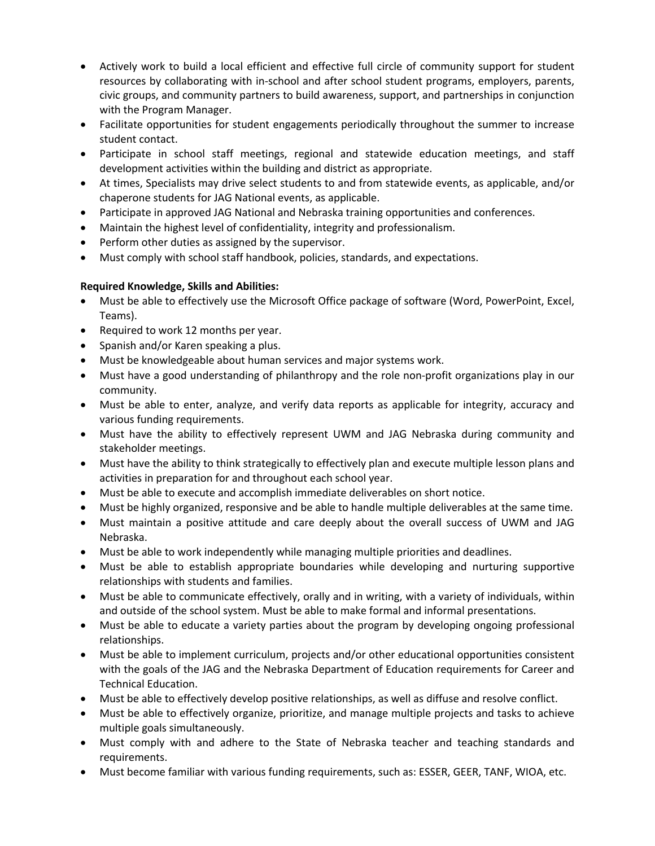- Actively work to build a local efficient and effective full circle of community support for student resources by collaborating with in-school and after school student programs, employers, parents, civic groups, and community partners to build awareness, support, and partnerships in conjunction with the Program Manager.
- Facilitate opportunities for student engagements periodically throughout the summer to increase student contact.
- Participate in school staff meetings, regional and statewide education meetings, and staff development activities within the building and district as appropriate.
- At times, Specialists may drive select students to and from statewide events, as applicable, and/or chaperone students for JAG National events, as applicable.
- Participate in approved JAG National and Nebraska training opportunities and conferences.
- Maintain the highest level of confidentiality, integrity and professionalism.
- Perform other duties as assigned by the supervisor.
- Must comply with school staff handbook, policies, standards, and expectations.

# **Required Knowledge, Skills and Abilities:**

- Must be able to effectively use the Microsoft Office package of software (Word, PowerPoint, Excel, Teams).
- Required to work 12 months per year.
- Spanish and/or Karen speaking a plus.
- Must be knowledgeable about human services and major systems work.
- Must have a good understanding of philanthropy and the role non-profit organizations play in our community.
- Must be able to enter, analyze, and verify data reports as applicable for integrity, accuracy and various funding requirements.
- Must have the ability to effectively represent UWM and JAG Nebraska during community and stakeholder meetings.
- Must have the ability to think strategically to effectively plan and execute multiple lesson plans and activities in preparation for and throughout each school year.
- Must be able to execute and accomplish immediate deliverables on short notice.
- Must be highly organized, responsive and be able to handle multiple deliverables at the same time.
- Must maintain a positive attitude and care deeply about the overall success of UWM and JAG Nebraska.
- Must be able to work independently while managing multiple priorities and deadlines.
- Must be able to establish appropriate boundaries while developing and nurturing supportive relationships with students and families.
- Must be able to communicate effectively, orally and in writing, with a variety of individuals, within and outside of the school system. Must be able to make formal and informal presentations.
- Must be able to educate a variety parties about the program by developing ongoing professional relationships.
- Must be able to implement curriculum, projects and/or other educational opportunities consistent with the goals of the JAG and the Nebraska Department of Education requirements for Career and Technical Education.
- Must be able to effectively develop positive relationships, as well as diffuse and resolve conflict.
- Must be able to effectively organize, prioritize, and manage multiple projects and tasks to achieve multiple goals simultaneously.
- Must comply with and adhere to the State of Nebraska teacher and teaching standards and requirements.
- Must become familiar with various funding requirements, such as: ESSER, GEER, TANF, WIOA, etc.